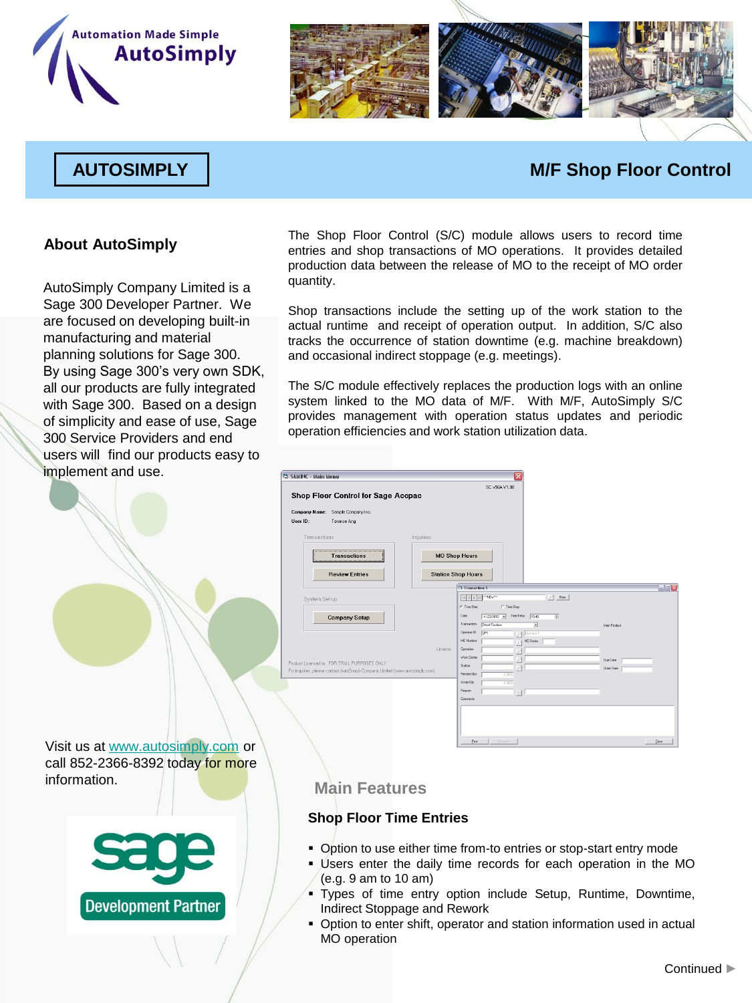



# **AUTOSIMPLY M/F Shop Floor Control**

### **About AutoSimply**

AutoSimply Company Limited is a Sage 300 Developer Partner. We are focused on developing built-in manufacturing and material planning solutions for Sage 300. By using Sage 300's very own SDK, all our products are fully integrated with Sage 300. Based on a design of simplicity and ease of use, Sage 300 Service Providers and end users will find our products easy to implement and use.

The Shop Floor Control (S/C) module allows users to record time entries and shop transactions of MO operations. It provides detailed production data between the release of MO to the receipt of MO order quantity.

Shop transactions include the setting up of the work station to the actual runtime and receipt of operation output. In addition, S/C also tracks the occurrence of station downtime (e.g. machine breakdown) and occasional indirect stoppage (e.g. meetings).

The S/C module effectively replaces the production logs with an online system linked to the MO data of M/F. With M/F, AutoSimply S/C provides management with operation status updates and periodic operation efficiencies and work station utilization data.

| 3 SAMINC - Main Menu                                                           | ×                                                                                              |                    |
|--------------------------------------------------------------------------------|------------------------------------------------------------------------------------------------|--------------------|
|                                                                                | SC v56A V1.00                                                                                  |                    |
| Shop Floor Control for Sage Accpac                                             |                                                                                                |                    |
| Company Name: Sample Company Inc.                                              |                                                                                                |                    |
| User ID:<br>Terence Ang                                                        |                                                                                                |                    |
|                                                                                |                                                                                                |                    |
| Transactions<br>Inquiries                                                      |                                                                                                |                    |
|                                                                                |                                                                                                |                    |
| <b>Transactions</b><br>                                                        | <b>MO Shop Hours</b>                                                                           |                    |
| <b>Review Entries</b>                                                          | <b>Station Shop Hours</b>                                                                      |                    |
|                                                                                |                                                                                                |                    |
|                                                                                | C Transaction 1                                                                                | $\n  E\n$          |
| System Set-up                                                                  | New<br>"NEW"                                                                                   |                    |
|                                                                                | G Time Stat<br>C Time Stop                                                                     |                    |
| <b>Company Setup</b>                                                           | Date<br>Tine Entry<br>10.46<br>$4/23/2010$ $\rightarrow$<br>공<br>Transaction<br>Direct Runtime |                    |
|                                                                                | $\overline{\phantom{a}}$<br>Operator ID<br>0 <sup>5</sup><br>p) Desator1                       | Main Product       |
|                                                                                | <b>NO Number</b><br>P MO Series                                                                |                    |
|                                                                                | License<br><b>Downlon</b><br>P                                                                 |                    |
| Product Licensed to: FOR TRIAL PURPOSES ONLY                                   | Work Center<br>P                                                                               | Due Date           |
| For inquiries, please contact AutoSimply Company Limited (www.autosimply.com). | Station<br>P<br>Receipt Qly<br>0.0000                                                          | <b>Order Diate</b> |
|                                                                                | Scrap Qty<br>0.0000                                                                            |                    |
|                                                                                | <b>Fleaton</b>                                                                                 |                    |
|                                                                                | Comments                                                                                       |                    |
|                                                                                |                                                                                                |                    |
|                                                                                |                                                                                                |                    |
|                                                                                |                                                                                                |                    |
|                                                                                | the first of the state of the                                                                  | Change of the      |

Visit us at [www.autosimply.com](http://www.autosimply.com/) or call 852-2366-8392 today for more information.



## **Main Features**

#### **Shop Floor Time Entries**

- Option to use either time from-to entries or stop-start entry mode
- Users enter the daily time records for each operation in the MO (e.g. 9 am to 10 am)
- Types of time entry option include Setup, Runtime, Downtime, Indirect Stoppage and Rework
- Option to enter shift, operator and station information used in actual MO operation